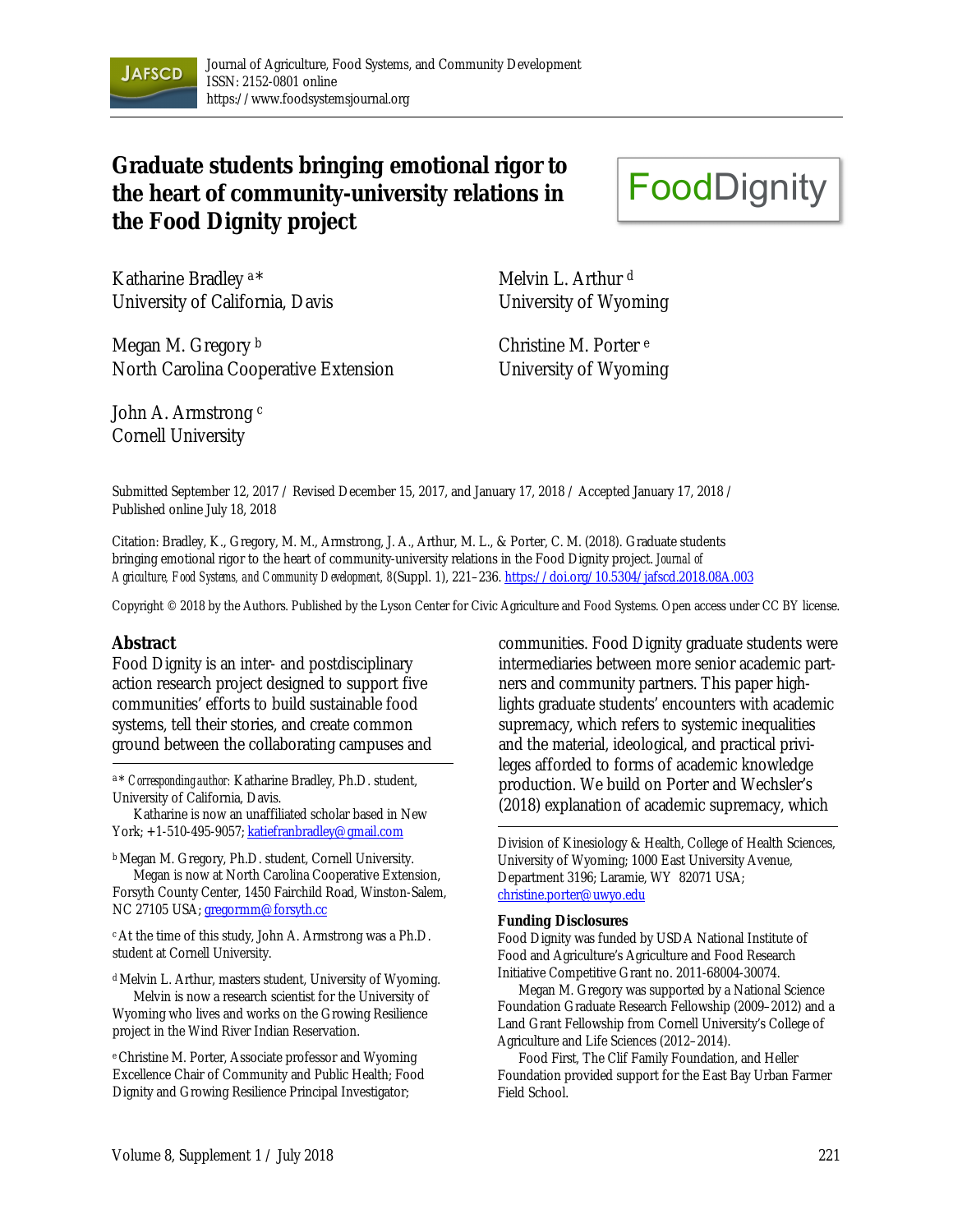

# **Graduate students bringing emotional rigor to the heart of community-university relations in the Food Dignity project**

Katharine Bradley a \* University of California, Davis

Melvin L. Arthur<sup>d</sup> University of Wyoming

**FoodDignity** 

Megan M. Gregory b North Carolina Cooperative Extension

John A. Armstrong c Cornell University

Christine M. Porter e University of Wyoming

Submitted September 12, 2017 / Revised December 15, 2017, and January 17, 2018 / Accepted January 17, 2018 / Published online July 18, 2018

Citation: Bradley, K., Gregory, M. M., Armstrong, J. A., Arthur, M. L., & Porter, C. M. (2018). Graduate students bringing emotional rigor to the heart of community-university relations in the Food Dignity project. *Journal of Agriculture, Food Systems, and Community Development, 8*(Suppl. 1), 221–236. https://doi.org/10.5304/jafscd.2018.08A.003

Copyright © 2018 by the Authors. Published by the Lyson Center for Civic Agriculture and Food Systems. Open access under CC BY license.

#### **Abstract**

Food Dignity is an inter- and postdisciplinary action research project designed to support five communities' efforts to build sustainable food systems, tell their stories, and create common ground between the collaborating campuses and

<sup>a</sup> \* *Corresponding author:* Katharine Bradley, Ph.D. student, University of California, Davis.

 Katharine is now an unaffiliated scholar based in New York; +1-510-495-9057; katiefranbradley@gmail.com

b Megan M. Gregory, Ph.D. student, Cornell University. Megan is now at North Carolina Cooperative Extension, Forsyth County Center, 1450 Fairchild Road, Winston-Salem, NC 27105 USA; gregormm@forsyth.cc

c At the time of this study, John A. Armstrong was a Ph.D. student at Cornell University.

d Melvin L. Arthur, masters student, University of Wyoming. Melvin is now a research scientist for the University of

Wyoming who lives and works on the Growing Resilience project in the Wind River Indian Reservation.

e Christine M. Porter, Associate professor and Wyoming Excellence Chair of Community and Public Health; Food Dignity and Growing Resilience Principal Investigator;

communities. Food Dignity graduate students were intermediaries between more senior academic partners and community partners. This paper highlights graduate students' encounters with academic supremacy, which refers to systemic inequalities and the material, ideological, and practical privileges afforded to forms of academic knowledge production. We build on Porter and Wechsler's (2018) explanation of academic supremacy, which

Division of Kinesiology & Health, College of Health Sciences, University of Wyoming; 1000 East University Avenue, Department 3196; Laramie, WY 82071 USA; christine.porter@uwyo.edu

#### **Funding Disclosures**

Food Dignity was funded by USDA National Institute of Food and Agriculture's Agriculture and Food Research Initiative Competitive Grant no. 2011-68004-30074.

 Megan M. Gregory was supported by a National Science Foundation Graduate Research Fellowship (2009–2012) and a Land Grant Fellowship from Cornell University's College of Agriculture and Life Sciences (2012–2014).

 Food First, The Clif Family Foundation, and Heller Foundation provided support for the East Bay Urban Farmer Field School.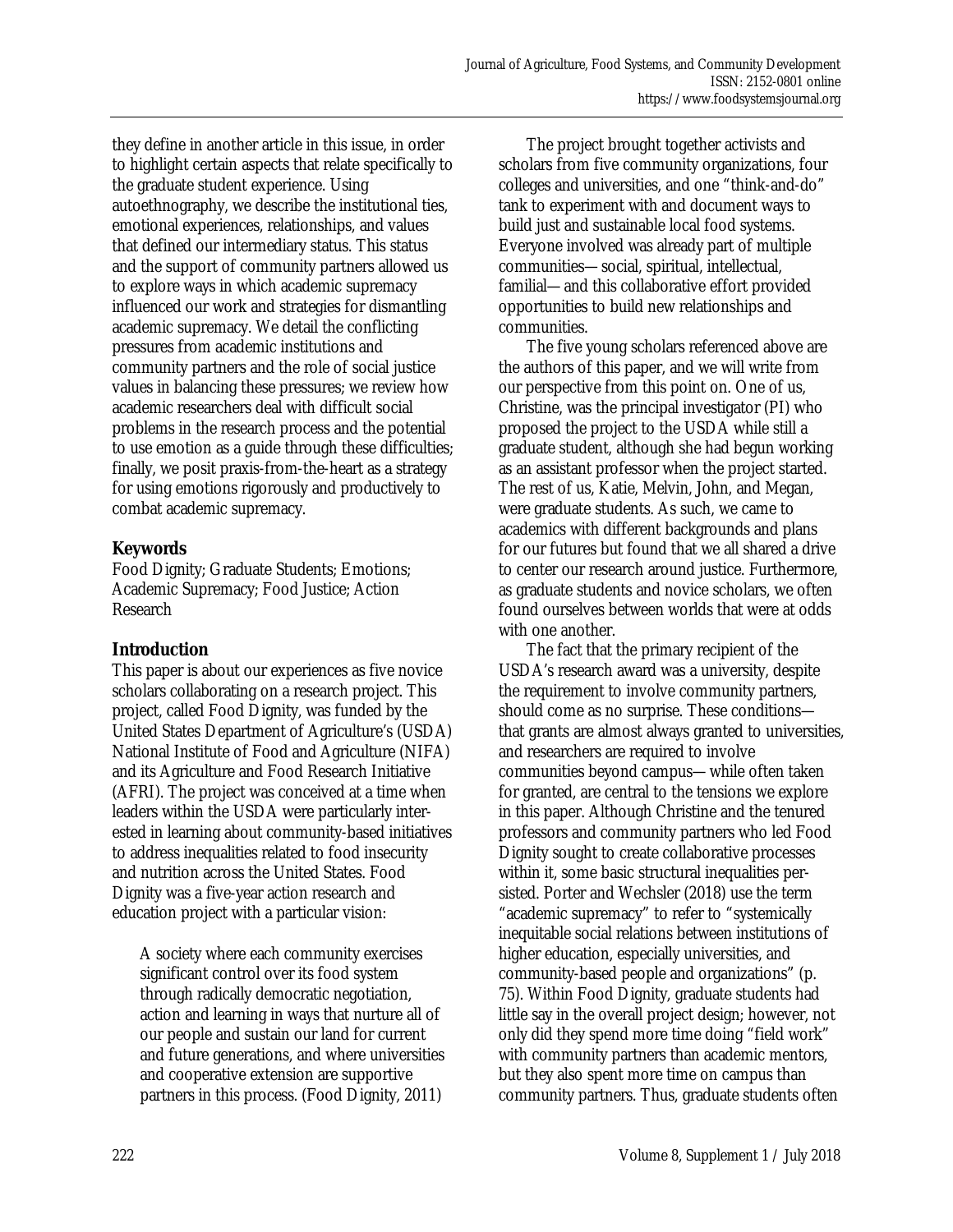they define in another article in this issue, in order to highlight certain aspects that relate specifically to the graduate student experience. Using autoethnography, we describe the institutional ties, emotional experiences, relationships, and values that defined our intermediary status. This status and the support of community partners allowed us to explore ways in which academic supremacy influenced our work and strategies for dismantling academic supremacy. We detail the conflicting pressures from academic institutions and community partners and the role of social justice values in balancing these pressures; we review how academic researchers deal with difficult social problems in the research process and the potential to use emotion as a guide through these difficulties; finally, we posit praxis-from-the-heart as a strategy for using emotions rigorously and productively to combat academic supremacy.

# **Keywords**

Food Dignity; Graduate Students; Emotions; Academic Supremacy; Food Justice; Action Research

# **Introduction**

This paper is about our experiences as five novice scholars collaborating on a research project. This project, called Food Dignity, was funded by the United States Department of Agriculture's (USDA) National Institute of Food and Agriculture (NIFA) and its Agriculture and Food Research Initiative (AFRI). The project was conceived at a time when leaders within the USDA were particularly interested in learning about community-based initiatives to address inequalities related to food insecurity and nutrition across the United States. Food Dignity was a five-year action research and education project with a particular vision:

A society where each community exercises significant control over its food system through radically democratic negotiation, action and learning in ways that nurture all of our people and sustain our land for current and future generations, and where universities and cooperative extension are supportive partners in this process. (Food Dignity, 2011)

 The project brought together activists and scholars from five community organizations, four colleges and universities, and one "think-and-do" tank to experiment with and document ways to build just and sustainable local food systems. Everyone involved was already part of multiple communities—social, spiritual, intellectual, familial—and this collaborative effort provided opportunities to build new relationships and communities.

 The five young scholars referenced above are the authors of this paper, and we will write from our perspective from this point on. One of us, Christine, was the principal investigator (PI) who proposed the project to the USDA while still a graduate student, although she had begun working as an assistant professor when the project started. The rest of us, Katie, Melvin, John, and Megan, were graduate students. As such, we came to academics with different backgrounds and plans for our futures but found that we all shared a drive to center our research around justice. Furthermore, as graduate students and novice scholars, we often found ourselves between worlds that were at odds with one another.

 The fact that the primary recipient of the USDA's research award was a university, despite the requirement to involve community partners, should come as no surprise. These conditions that grants are almost always granted to universities, and researchers are required to involve communities beyond campus—while often taken for granted, are central to the tensions we explore in this paper. Although Christine and the tenured professors and community partners who led Food Dignity sought to create collaborative processes within it, some basic structural inequalities persisted. Porter and Wechsler (2018) use the term "academic supremacy" to refer to "systemically inequitable social relations between institutions of higher education, especially universities, and community-based people and organizations" (p. 75). Within Food Dignity, graduate students had little say in the overall project design; however, not only did they spend more time doing "field work" with community partners than academic mentors, but they also spent more time on campus than community partners. Thus, graduate students often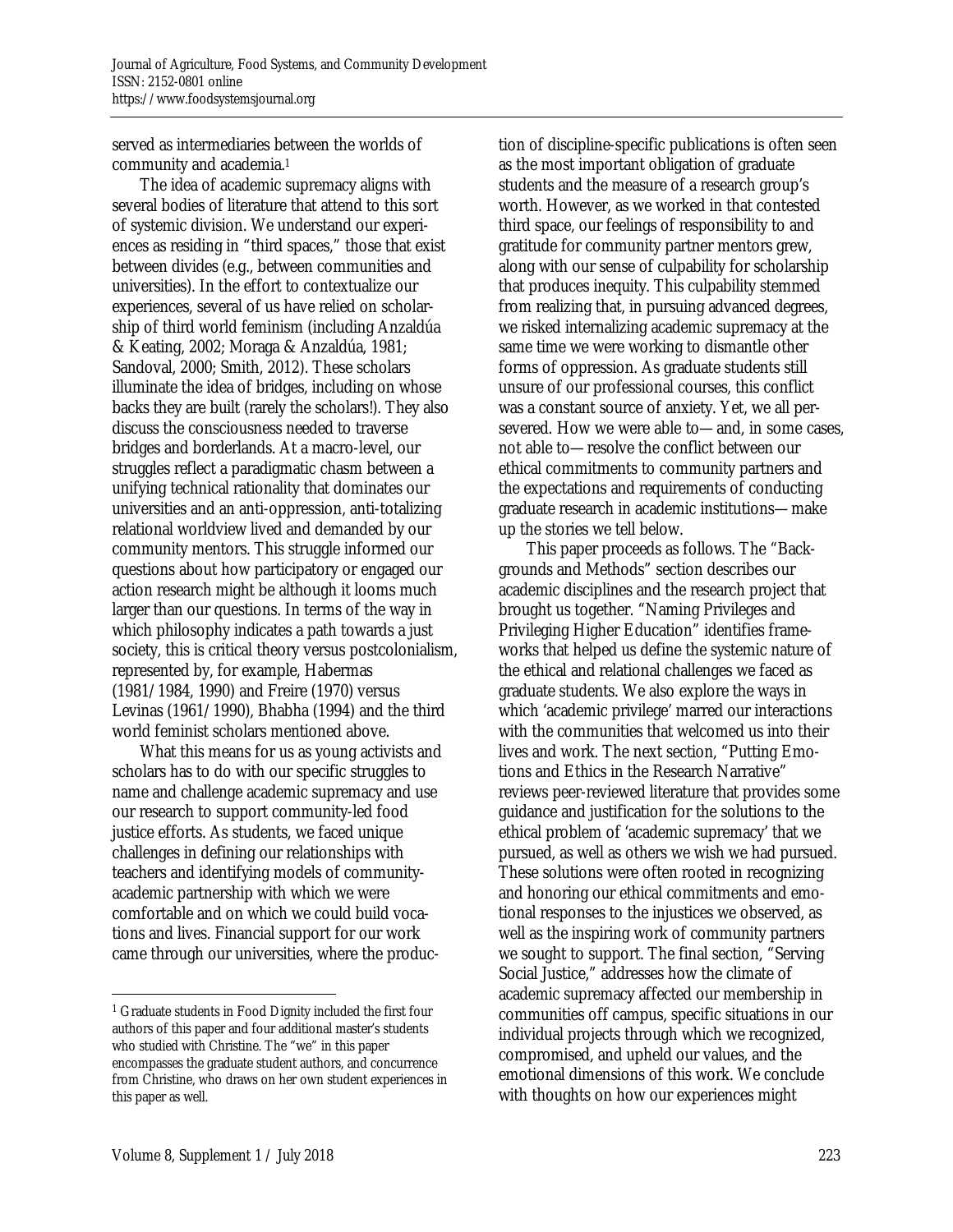served as intermediaries between the worlds of community and academia.1

 The idea of academic supremacy aligns with several bodies of literature that attend to this sort of systemic division. We understand our experiences as residing in "third spaces," those that exist between divides (e.g., between communities and universities). In the effort to contextualize our experiences, several of us have relied on scholarship of third world feminism (including Anzaldúa & Keating, 2002; Moraga & Anzaldúa, 1981; Sandoval, 2000; Smith, 2012). These scholars illuminate the idea of bridges, including on whose backs they are built (rarely the scholars!). They also discuss the consciousness needed to traverse bridges and borderlands. At a macro-level, our struggles reflect a paradigmatic chasm between a unifying technical rationality that dominates our universities and an anti-oppression, anti-totalizing relational worldview lived and demanded by our community mentors. This struggle informed our questions about how participatory or engaged our action research might be although it looms much larger than our questions. In terms of the way in which philosophy indicates a path towards a just society, this is critical theory versus postcolonialism, represented by, for example, Habermas (1981/1984, 1990) and Freire (1970) versus Levinas (1961/1990), Bhabha (1994) and the third world feminist scholars mentioned above.

 What this means for us as young activists and scholars has to do with our specific struggles to name and challenge academic supremacy and use our research to support community-led food justice efforts. As students, we faced unique challenges in defining our relationships with teachers and identifying models of communityacademic partnership with which we were comfortable and on which we could build vocations and lives. Financial support for our work came through our universities, where the production of discipline-specific publications is often seen as the most important obligation of graduate students and the measure of a research group's worth. However, as we worked in that contested third space, our feelings of responsibility to and gratitude for community partner mentors grew, along with our sense of culpability for scholarship that produces inequity. This culpability stemmed from realizing that, in pursuing advanced degrees, we risked internalizing academic supremacy at the same time we were working to dismantle other forms of oppression. As graduate students still unsure of our professional courses, this conflict was a constant source of anxiety. Yet, we all persevered. How we were able to—and, in some cases, not able to—resolve the conflict between our ethical commitments to community partners and the expectations and requirements of conducting graduate research in academic institutions—make up the stories we tell below.

 This paper proceeds as follows. The "Backgrounds and Methods" section describes our academic disciplines and the research project that brought us together. "Naming Privileges and Privileging Higher Education" identifies frameworks that helped us define the systemic nature of the ethical and relational challenges we faced as graduate students. We also explore the ways in which 'academic privilege' marred our interactions with the communities that welcomed us into their lives and work. The next section, "Putting Emotions and Ethics in the Research Narrative" reviews peer-reviewed literature that provides some guidance and justification for the solutions to the ethical problem of 'academic supremacy' that we pursued, as well as others we wish we had pursued. These solutions were often rooted in recognizing and honoring our ethical commitments and emotional responses to the injustices we observed, as well as the inspiring work of community partners we sought to support. The final section, "Serving Social Justice," addresses how the climate of academic supremacy affected our membership in communities off campus, specific situations in our individual projects through which we recognized, compromised, and upheld our values, and the emotional dimensions of this work. We conclude with thoughts on how our experiences might

 $\overline{a}$ 1 Graduate students in Food Dignity included the first four authors of this paper and four additional master's students who studied with Christine. The "we" in this paper encompasses the graduate student authors, and concurrence from Christine, who draws on her own student experiences in this paper as well.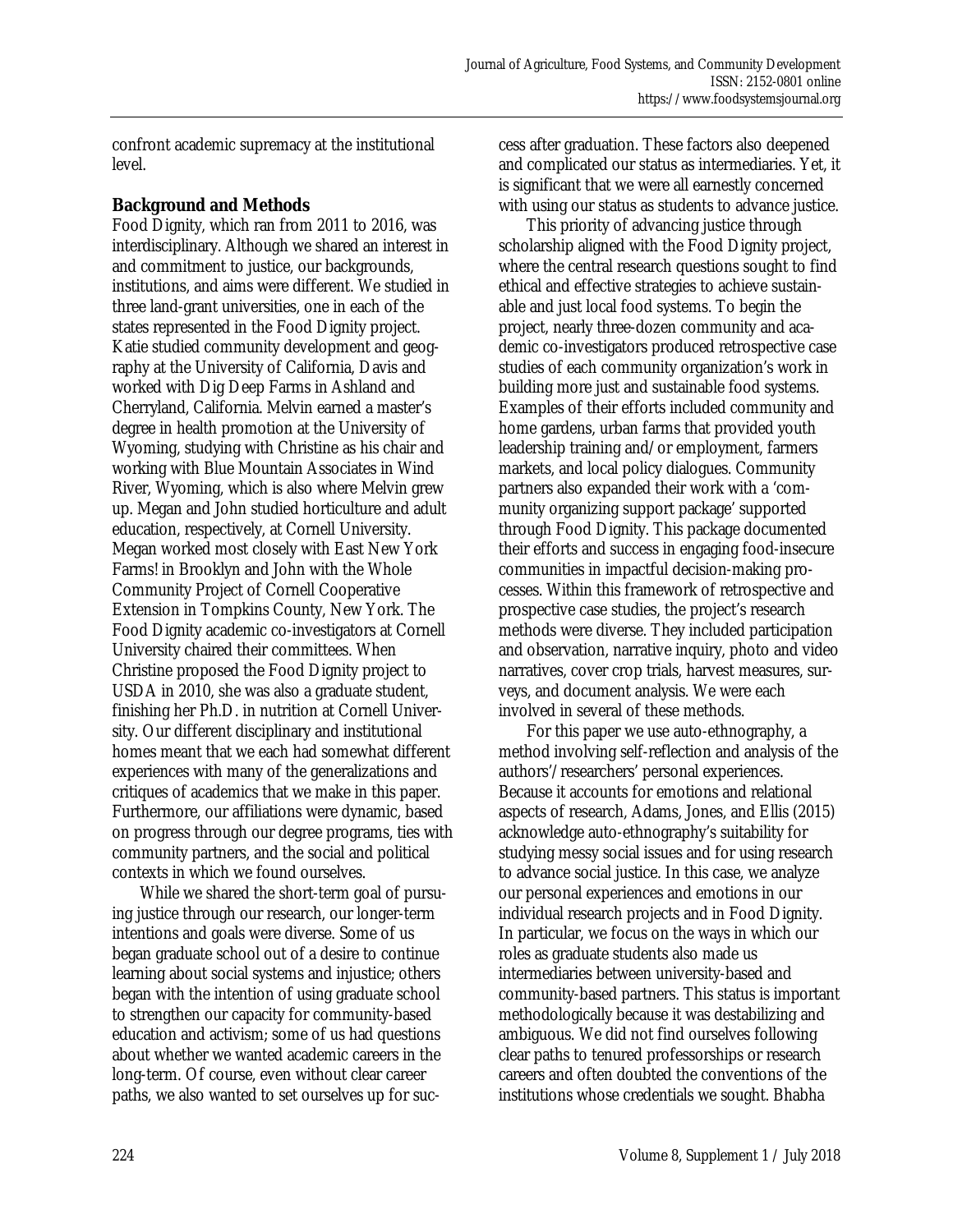confront academic supremacy at the institutional level.

#### **Background and Methods**

Food Dignity, which ran from 2011 to 2016, was interdisciplinary. Although we shared an interest in and commitment to justice, our backgrounds, institutions, and aims were different. We studied in three land-grant universities, one in each of the states represented in the Food Dignity project. Katie studied community development and geography at the University of California, Davis and worked with Dig Deep Farms in Ashland and Cherryland, California. Melvin earned a master's degree in health promotion at the University of Wyoming, studying with Christine as his chair and working with Blue Mountain Associates in Wind River, Wyoming, which is also where Melvin grew up. Megan and John studied horticulture and adult education, respectively, at Cornell University. Megan worked most closely with East New York Farms! in Brooklyn and John with the Whole Community Project of Cornell Cooperative Extension in Tompkins County, New York. The Food Dignity academic co-investigators at Cornell University chaired their committees. When Christine proposed the Food Dignity project to USDA in 2010, she was also a graduate student, finishing her Ph.D. in nutrition at Cornell University. Our different disciplinary and institutional homes meant that we each had somewhat different experiences with many of the generalizations and critiques of academics that we make in this paper. Furthermore, our affiliations were dynamic, based on progress through our degree programs, ties with community partners, and the social and political contexts in which we found ourselves.

 While we shared the short-term goal of pursuing justice through our research, our longer-term intentions and goals were diverse. Some of us began graduate school out of a desire to continue learning about social systems and injustice; others began with the intention of using graduate school to strengthen our capacity for community-based education and activism; some of us had questions about whether we wanted academic careers in the long-term. Of course, even without clear career paths, we also wanted to set ourselves up for success after graduation. These factors also deepened and complicated our status as intermediaries. Yet, it is significant that we were all earnestly concerned with using our status as students to advance justice.

 This priority of advancing justice through scholarship aligned with the Food Dignity project, where the central research questions sought to find ethical and effective strategies to achieve sustainable and just local food systems. To begin the project, nearly three-dozen community and academic co-investigators produced retrospective case studies of each community organization's work in building more just and sustainable food systems. Examples of their efforts included community and home gardens, urban farms that provided youth leadership training and/or employment, farmers markets, and local policy dialogues. Community partners also expanded their work with a 'community organizing support package' supported through Food Dignity. This package documented their efforts and success in engaging food-insecure communities in impactful decision-making processes. Within this framework of retrospective and prospective case studies, the project's research methods were diverse. They included participation and observation, narrative inquiry, photo and video narratives, cover crop trials, harvest measures, surveys, and document analysis. We were each involved in several of these methods.

 For this paper we use auto-ethnography, a method involving self-reflection and analysis of the authors'/researchers' personal experiences. Because it accounts for emotions and relational aspects of research, Adams, Jones, and Ellis (2015) acknowledge auto-ethnography's suitability for studying messy social issues and for using research to advance social justice. In this case, we analyze our personal experiences and emotions in our individual research projects and in Food Dignity. In particular, we focus on the ways in which our roles as graduate students also made us intermediaries between university-based and community-based partners. This status is important methodologically because it was destabilizing and ambiguous. We did not find ourselves following clear paths to tenured professorships or research careers and often doubted the conventions of the institutions whose credentials we sought. Bhabha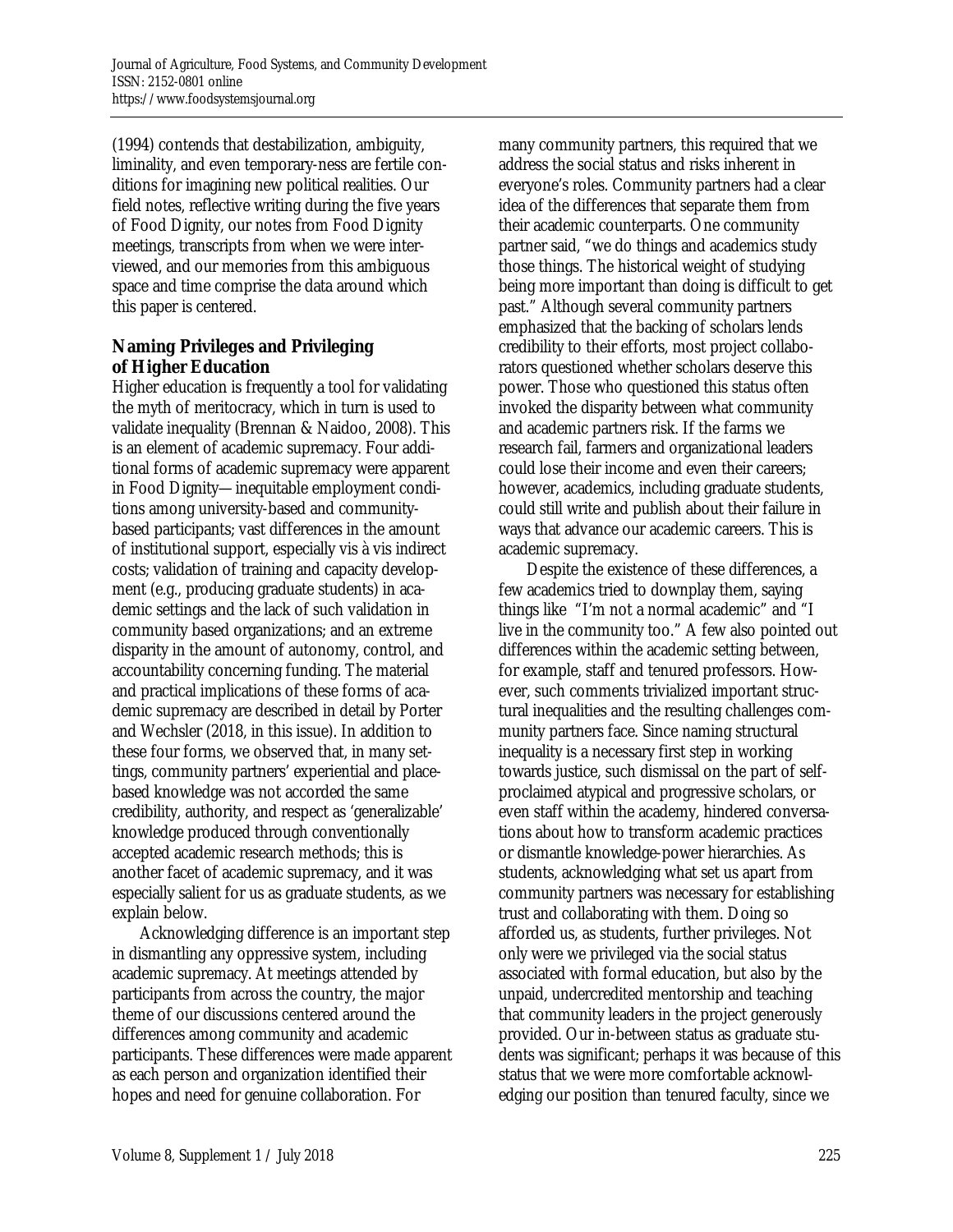(1994) contends that destabilization, ambiguity, liminality, and even temporary-ness are fertile conditions for imagining new political realities. Our field notes, reflective writing during the five years of Food Dignity, our notes from Food Dignity meetings, transcripts from when we were interviewed, and our memories from this ambiguous space and time comprise the data around which this paper is centered.

# **Naming Privileges and Privileging of Higher Education**

Higher education is frequently a tool for validating the myth of meritocracy, which in turn is used to validate inequality (Brennan & Naidoo, 2008). This is an element of academic supremacy. Four additional forms of academic supremacy were apparent in Food Dignity—inequitable employment conditions among university-based and communitybased participants; vast differences in the amount of institutional support, especially vis à vis indirect costs; validation of training and capacity development (e.g., producing graduate students) in academic settings and the lack of such validation in community based organizations; and an extreme disparity in the amount of autonomy, control, and accountability concerning funding. The material and practical implications of these forms of academic supremacy are described in detail by Porter and Wechsler (2018, in this issue). In addition to these four forms, we observed that, in many settings, community partners' experiential and placebased knowledge was not accorded the same credibility, authority, and respect as 'generalizable' knowledge produced through conventionally accepted academic research methods; this is another facet of academic supremacy, and it was especially salient for us as graduate students, as we explain below.

 Acknowledging difference is an important step in dismantling any oppressive system, including academic supremacy. At meetings attended by participants from across the country, the major theme of our discussions centered around the differences among community and academic participants. These differences were made apparent as each person and organization identified their hopes and need for genuine collaboration. For

many community partners, this required that we address the social status and risks inherent in everyone's roles. Community partners had a clear idea of the differences that separate them from their academic counterparts. One community partner said, "we do things and academics study those things. The historical weight of studying being more important than doing is difficult to get past." Although several community partners emphasized that the backing of scholars lends credibility to their efforts, most project collaborators questioned whether scholars deserve this power. Those who questioned this status often invoked the disparity between what community and academic partners risk. If the farms we research fail, farmers and organizational leaders could lose their income and even their careers; however, academics, including graduate students, could still write and publish about their failure in ways that advance our academic careers. This is academic supremacy.

 Despite the existence of these differences, a few academics tried to downplay them, saying things like "I'm not a normal academic" and "I live in the community too." A few also pointed out differences within the academic setting between, for example, staff and tenured professors. However, such comments trivialized important structural inequalities and the resulting challenges community partners face. Since naming structural inequality is a necessary first step in working towards justice, such dismissal on the part of selfproclaimed atypical and progressive scholars, or even staff within the academy, hindered conversations about how to transform academic practices or dismantle knowledge-power hierarchies. As students, acknowledging what set us apart from community partners was necessary for establishing trust and collaborating with them. Doing so afforded us, as students, further privileges. Not only were we privileged via the social status associated with formal education, but also by the unpaid, undercredited mentorship and teaching that community leaders in the project generously provided. Our in-between status as graduate students was significant; perhaps it was because of this status that we were more comfortable acknowledging our position than tenured faculty, since we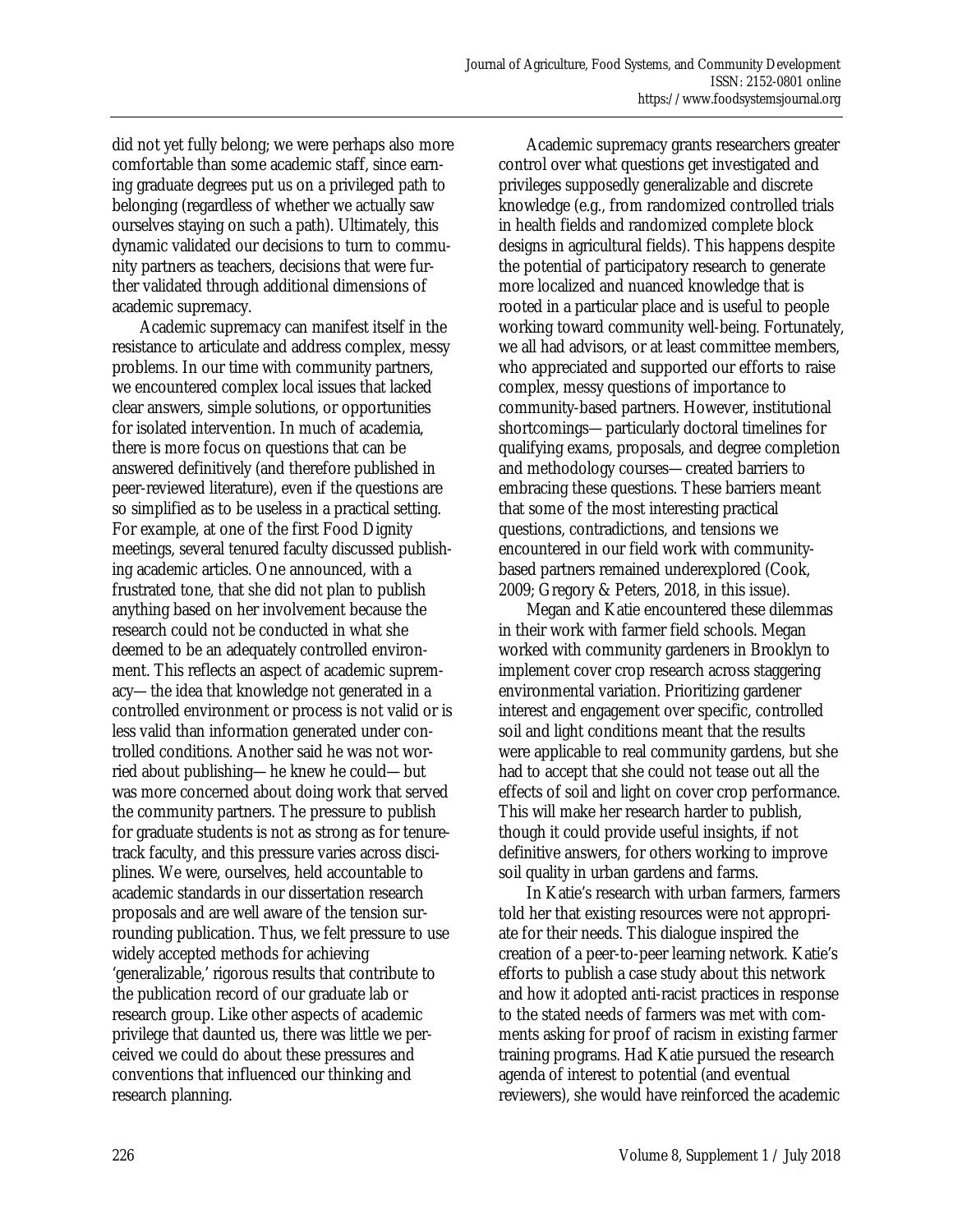did not yet fully belong; we were perhaps also more comfortable than some academic staff, since earning graduate degrees put us on a privileged path to belonging (regardless of whether we actually saw ourselves staying on such a path). Ultimately, this dynamic validated our decisions to turn to community partners as teachers, decisions that were further validated through additional dimensions of academic supremacy.

 Academic supremacy can manifest itself in the resistance to articulate and address complex, messy problems. In our time with community partners, we encountered complex local issues that lacked clear answers, simple solutions, or opportunities for isolated intervention. In much of academia, there is more focus on questions that can be answered definitively (and therefore published in peer-reviewed literature), even if the questions are so simplified as to be useless in a practical setting. For example, at one of the first Food Dignity meetings, several tenured faculty discussed publishing academic articles. One announced, with a frustrated tone, that she did not plan to publish anything based on her involvement because the research could not be conducted in what she deemed to be an adequately controlled environment. This reflects an aspect of academic supremacy—the idea that knowledge not generated in a controlled environment or process is not valid or is less valid than information generated under controlled conditions. Another said he was not worried about publishing—he knew he could—but was more concerned about doing work that served the community partners. The pressure to publish for graduate students is not as strong as for tenuretrack faculty, and this pressure varies across disciplines. We were, ourselves, held accountable to academic standards in our dissertation research proposals and are well aware of the tension surrounding publication. Thus, we felt pressure to use widely accepted methods for achieving 'generalizable,' rigorous results that contribute to the publication record of our graduate lab or research group. Like other aspects of academic privilege that daunted us, there was little we perceived we could do about these pressures and conventions that influenced our thinking and research planning.

 Academic supremacy grants researchers greater control over what questions get investigated and privileges supposedly generalizable and discrete knowledge (e.g., from randomized controlled trials in health fields and randomized complete block designs in agricultural fields). This happens despite the potential of participatory research to generate more localized and nuanced knowledge that is rooted in a particular place and is useful to people working toward community well-being. Fortunately, we all had advisors, or at least committee members, who appreciated and supported our efforts to raise complex, messy questions of importance to community-based partners. However, institutional shortcomings—particularly doctoral timelines for qualifying exams, proposals, and degree completion and methodology courses—created barriers to embracing these questions. These barriers meant that some of the most interesting practical questions, contradictions, and tensions we encountered in our field work with communitybased partners remained underexplored (Cook, 2009; Gregory & Peters, 2018, in this issue).

 Megan and Katie encountered these dilemmas in their work with farmer field schools. Megan worked with community gardeners in Brooklyn to implement cover crop research across staggering environmental variation. Prioritizing gardener interest and engagement over specific, controlled soil and light conditions meant that the results were applicable to real community gardens, but she had to accept that she could not tease out all the effects of soil and light on cover crop performance. This will make her research harder to publish, though it could provide useful insights, if not definitive answers, for others working to improve soil quality in urban gardens and farms.

 In Katie's research with urban farmers, farmers told her that existing resources were not appropriate for their needs. This dialogue inspired the creation of a peer-to-peer learning network. Katie's efforts to publish a case study about this network and how it adopted anti-racist practices in response to the stated needs of farmers was met with comments asking for proof of racism in existing farmer training programs. Had Katie pursued the research agenda of interest to potential (and eventual reviewers), she would have reinforced the academic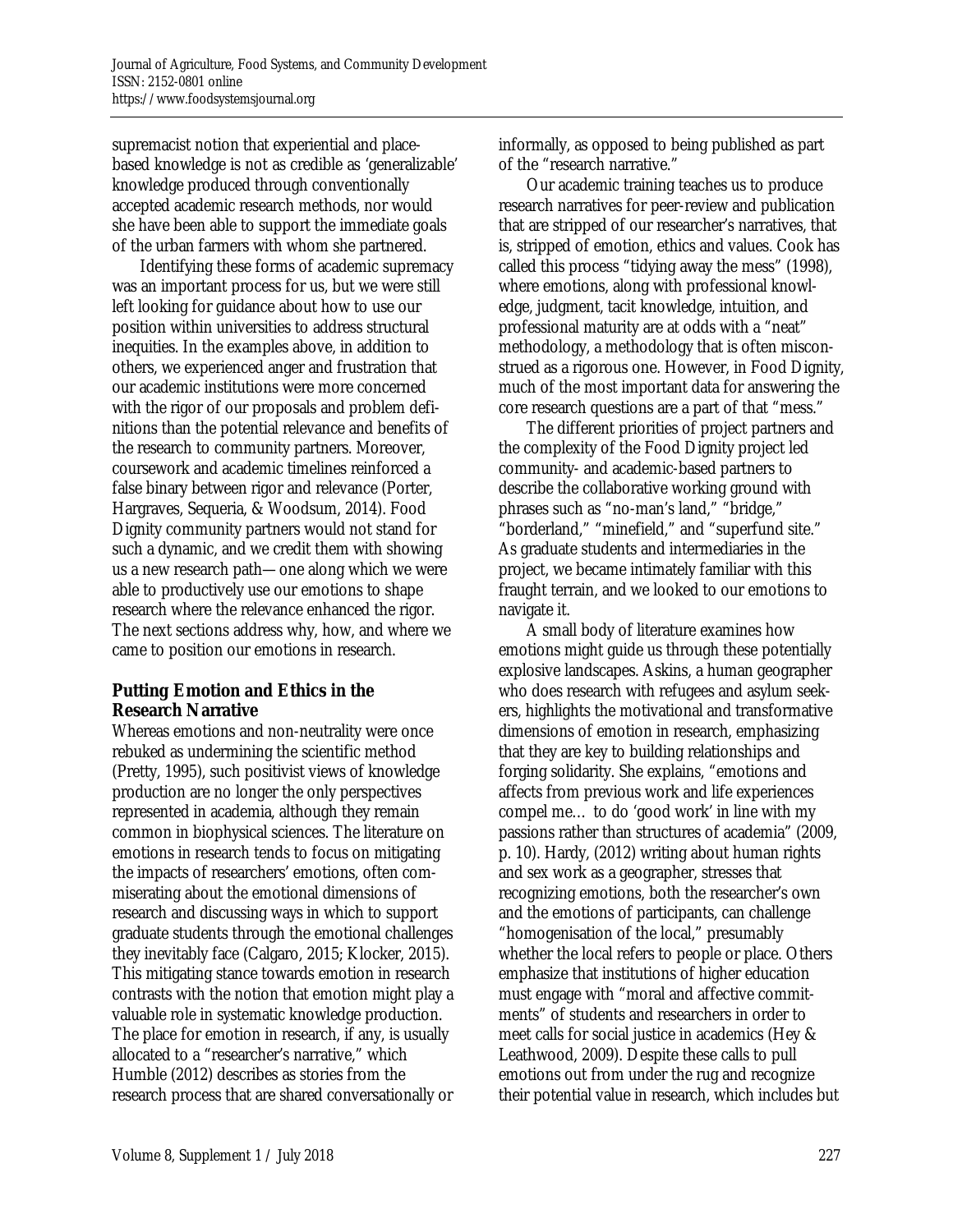supremacist notion that experiential and placebased knowledge is not as credible as 'generalizable' knowledge produced through conventionally accepted academic research methods, nor would she have been able to support the immediate goals of the urban farmers with whom she partnered.

 Identifying these forms of academic supremacy was an important process for us, but we were still left looking for guidance about how to use our position within universities to address structural inequities. In the examples above, in addition to others, we experienced anger and frustration that our academic institutions were more concerned with the rigor of our proposals and problem definitions than the potential relevance and benefits of the research to community partners. Moreover, coursework and academic timelines reinforced a false binary between rigor and relevance (Porter, Hargraves, Sequeria, & Woodsum, 2014). Food Dignity community partners would not stand for such a dynamic, and we credit them with showing us a new research path—one along which we were able to productively use our emotions to shape research where the relevance enhanced the rigor. The next sections address why, how, and where we came to position our emotions in research.

# **Putting Emotion and Ethics in the Research Narrative**

Whereas emotions and non-neutrality were once rebuked as undermining the scientific method (Pretty, 1995), such positivist views of knowledge production are no longer the only perspectives represented in academia, although they remain common in biophysical sciences. The literature on emotions in research tends to focus on mitigating the impacts of researchers' emotions, often commiserating about the emotional dimensions of research and discussing ways in which to support graduate students through the emotional challenges they inevitably face (Calgaro, 2015; Klocker, 2015). This mitigating stance towards emotion in research contrasts with the notion that emotion might play a valuable role in systematic knowledge production. The place for emotion in research, if any, is usually allocated to a "researcher's narrative," which Humble (2012) describes as stories from the research process that are shared conversationally or

informally, as opposed to being published as part of the "research narrative."

 Our academic training teaches us to produce research narratives for peer-review and publication that are stripped of our researcher's narratives, that is, stripped of emotion, ethics and values. Cook has called this process "tidying away the mess" (1998), where emotions, along with professional knowledge, judgment, tacit knowledge, intuition, and professional maturity are at odds with a "neat" methodology, a methodology that is often misconstrued as a rigorous one. However, in Food Dignity, much of the most important data for answering the core research questions are a part of that "mess."

 The different priorities of project partners and the complexity of the Food Dignity project led community- and academic-based partners to describe the collaborative working ground with phrases such as "no-man's land," "bridge," "borderland," "minefield," and "superfund site." As graduate students and intermediaries in the project, we became intimately familiar with this fraught terrain, and we looked to our emotions to navigate it.

 A small body of literature examines how emotions might guide us through these potentially explosive landscapes. Askins, a human geographer who does research with refugees and asylum seekers, highlights the motivational and transformative dimensions of emotion in research, emphasizing that they are key to building relationships and forging solidarity. She explains, "emotions and affects from previous work and life experiences compel me… to do 'good work' in line with my passions rather than structures of academia" (2009, p. 10). Hardy, (2012) writing about human rights and sex work as a geographer, stresses that recognizing emotions, both the researcher's own and the emotions of participants, can challenge "homogenisation of the local," presumably whether the local refers to people or place. Others emphasize that institutions of higher education must engage with "moral and affective commitments" of students and researchers in order to meet calls for social justice in academics (Hey & Leathwood, 2009). Despite these calls to pull emotions out from under the rug and recognize their potential value in research, which includes but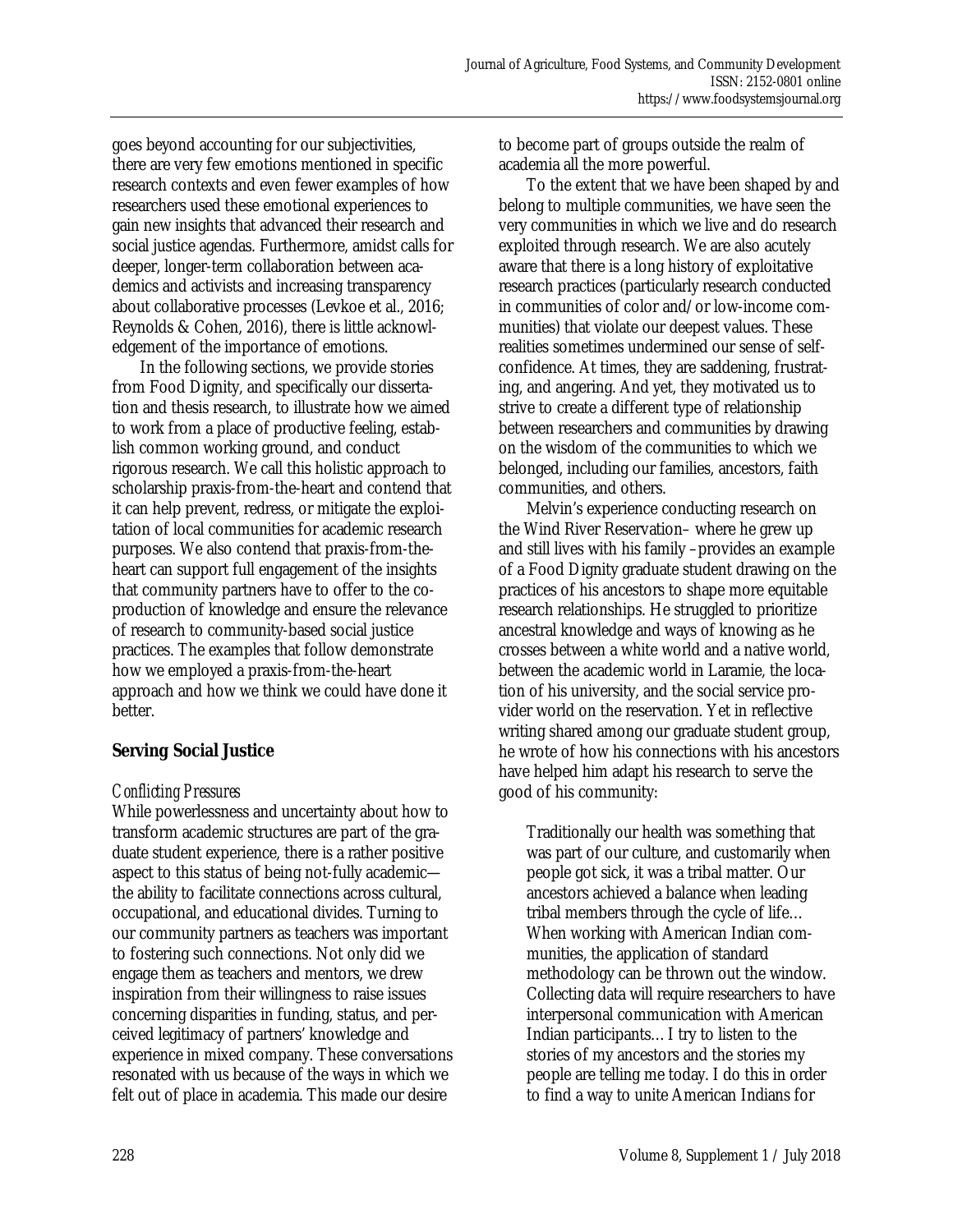goes beyond accounting for our subjectivities, there are very few emotions mentioned in specific research contexts and even fewer examples of how researchers used these emotional experiences to gain new insights that advanced their research and social justice agendas. Furthermore, amidst calls for deeper, longer-term collaboration between academics and activists and increasing transparency about collaborative processes (Levkoe et al., 2016; Reynolds & Cohen, 2016), there is little acknowledgement of the importance of emotions.

 In the following sections, we provide stories from Food Dignity, and specifically our dissertation and thesis research, to illustrate how we aimed to work from a place of productive feeling, establish common working ground, and conduct rigorous research. We call this holistic approach to scholarship praxis-from-the-heart and contend that it can help prevent, redress, or mitigate the exploitation of local communities for academic research purposes. We also contend that praxis-from-theheart can support full engagement of the insights that community partners have to offer to the coproduction of knowledge and ensure the relevance of research to community-based social justice practices. The examples that follow demonstrate how we employed a praxis-from-the-heart approach and how we think we could have done it better.

## **Serving Social Justice**

#### *Conflicting Pressures*

While powerlessness and uncertainty about how to transform academic structures are part of the graduate student experience, there is a rather positive aspect to this status of being not-fully academic the ability to facilitate connections across cultural, occupational, and educational divides. Turning to our community partners as teachers was important to fostering such connections. Not only did we engage them as teachers and mentors, we drew inspiration from their willingness to raise issues concerning disparities in funding, status, and perceived legitimacy of partners' knowledge and experience in mixed company. These conversations resonated with us because of the ways in which we felt out of place in academia. This made our desire

to become part of groups outside the realm of academia all the more powerful.

 To the extent that we have been shaped by and belong to multiple communities, we have seen the very communities in which we live and do research exploited through research. We are also acutely aware that there is a long history of exploitative research practices (particularly research conducted in communities of color and/or low-income communities) that violate our deepest values. These realities sometimes undermined our sense of selfconfidence. At times, they are saddening, frustrating, and angering. And yet, they motivated us to strive to create a different type of relationship between researchers and communities by drawing on the wisdom of the communities to which we belonged, including our families, ancestors, faith communities, and others.

 Melvin's experience conducting research on the Wind River Reservation– where he grew up and still lives with his family –provides an example of a Food Dignity graduate student drawing on the practices of his ancestors to shape more equitable research relationships. He struggled to prioritize ancestral knowledge and ways of knowing as he crosses between a white world and a native world, between the academic world in Laramie, the location of his university, and the social service provider world on the reservation. Yet in reflective writing shared among our graduate student group, he wrote of how his connections with his ancestors have helped him adapt his research to serve the good of his community:

Traditionally our health was something that was part of our culture, and customarily when people got sick, it was a tribal matter. Our ancestors achieved a balance when leading tribal members through the cycle of life… When working with American Indian communities, the application of standard methodology can be thrown out the window. Collecting data will require researchers to have interpersonal communication with American Indian participants…I try to listen to the stories of my ancestors and the stories my people are telling me today. I do this in order to find a way to unite American Indians for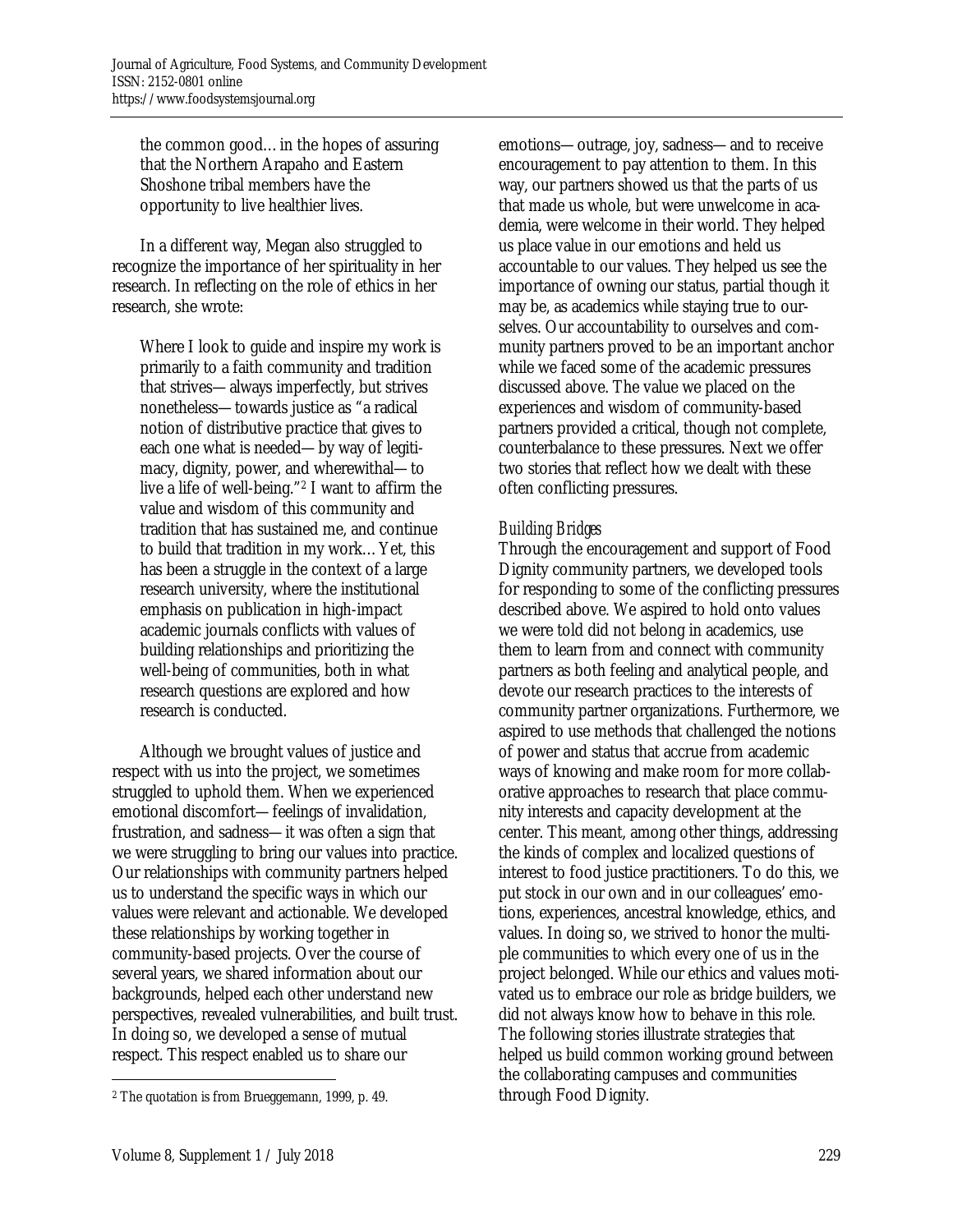the common good…in the hopes of assuring that the Northern Arapaho and Eastern Shoshone tribal members have the opportunity to live healthier lives.

 In a different way, Megan also struggled to recognize the importance of her spirituality in her research. In reflecting on the role of ethics in her research, she wrote:

Where I look to guide and inspire my work is primarily to a faith community and tradition that strives—always imperfectly, but strives nonetheless—towards justice as "a radical notion of distributive practice that gives to each one what is needed—by way of legitimacy, dignity, power, and wherewithal—to live a life of well-being."2 I want to affirm the value and wisdom of this community and tradition that has sustained me, and continue to build that tradition in my work…Yet, this has been a struggle in the context of a large research university, where the institutional emphasis on publication in high-impact academic journals conflicts with values of building relationships and prioritizing the well-being of communities, both in what research questions are explored and how research is conducted.

 Although we brought values of justice and respect with us into the project, we sometimes struggled to uphold them. When we experienced emotional discomfort—feelings of invalidation, frustration, and sadness—it was often a sign that we were struggling to bring our values into practice. Our relationships with community partners helped us to understand the specific ways in which our values were relevant and actionable. We developed these relationships by working together in community-based projects. Over the course of several years, we shared information about our backgrounds, helped each other understand new perspectives, revealed vulnerabilities, and built trust. In doing so, we developed a sense of mutual respect. This respect enabled us to share our

emotions—outrage, joy, sadness—and to receive encouragement to pay attention to them. In this way, our partners showed us that the parts of us that made us whole, but were unwelcome in academia, were welcome in their world. They helped us place value in our emotions and held us accountable to our values. They helped us see the importance of owning our status, partial though it may be, as academics while staying true to ourselves. Our accountability to ourselves and community partners proved to be an important anchor while we faced some of the academic pressures discussed above. The value we placed on the experiences and wisdom of community-based partners provided a critical, though not complete, counterbalance to these pressures. Next we offer two stories that reflect how we dealt with these often conflicting pressures.

# *Building Bridges*

Through the encouragement and support of Food Dignity community partners, we developed tools for responding to some of the conflicting pressures described above. We aspired to hold onto values we were told did not belong in academics, use them to learn from and connect with community partners as both feeling and analytical people, and devote our research practices to the interests of community partner organizations. Furthermore, we aspired to use methods that challenged the notions of power and status that accrue from academic ways of knowing and make room for more collaborative approaches to research that place community interests and capacity development at the center. This meant, among other things, addressing the kinds of complex and localized questions of interest to food justice practitioners. To do this, we put stock in our own and in our colleagues' emotions, experiences, ancestral knowledge, ethics, and values. In doing so, we strived to honor the multiple communities to which every one of us in the project belonged. While our ethics and values motivated us to embrace our role as bridge builders, we did not always know how to behave in this role. The following stories illustrate strategies that helped us build common working ground between the collaborating campuses and communities through Food Dignity.

 $\overline{a}$ 

<sup>2</sup> The quotation is from Brueggemann, 1999, p. 49.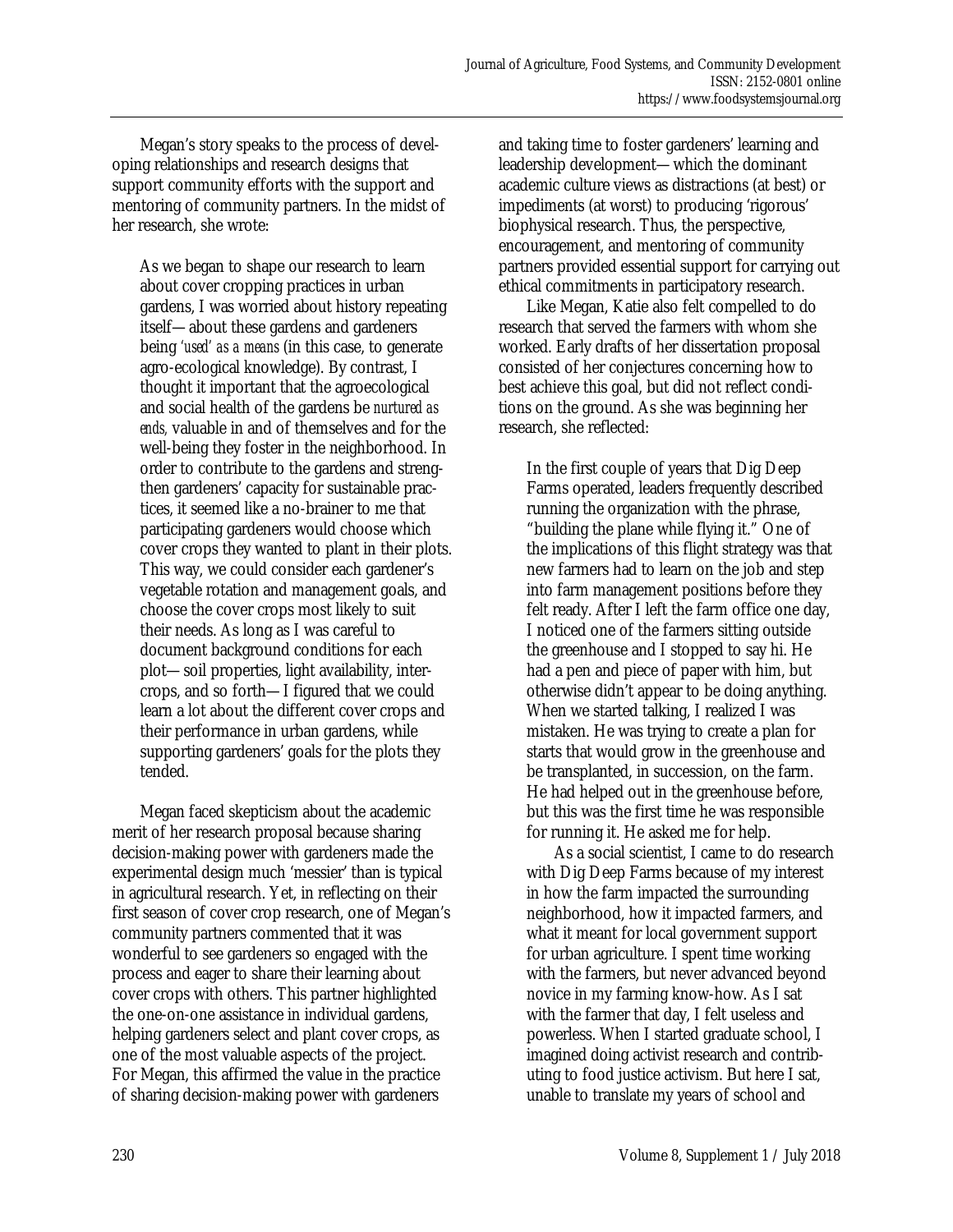Megan's story speaks to the process of developing relationships and research designs that support community efforts with the support and mentoring of community partners. In the midst of her research, she wrote:

As we began to shape our research to learn about cover cropping practices in urban gardens, I was worried about history repeating itself—about these gardens and gardeners being *'used' as a means* (in this case, to generate agro-ecological knowledge). By contrast, I thought it important that the agroecological and social health of the gardens be *nurtured as ends,* valuable in and of themselves and for the well-being they foster in the neighborhood. In order to contribute to the gardens and strengthen gardeners' capacity for sustainable practices, it seemed like a no-brainer to me that participating gardeners would choose which cover crops they wanted to plant in their plots. This way, we could consider each gardener's vegetable rotation and management goals, and choose the cover crops most likely to suit their needs. As long as I was careful to document background conditions for each plot—soil properties, light availability, intercrops, and so forth—I figured that we could learn a lot about the different cover crops and their performance in urban gardens, while supporting gardeners' goals for the plots they tended.

 Megan faced skepticism about the academic merit of her research proposal because sharing decision-making power with gardeners made the experimental design much 'messier' than is typical in agricultural research. Yet, in reflecting on their first season of cover crop research, one of Megan's community partners commented that it was wonderful to see gardeners so engaged with the process and eager to share their learning about cover crops with others. This partner highlighted the one-on-one assistance in individual gardens, helping gardeners select and plant cover crops, as one of the most valuable aspects of the project. For Megan, this affirmed the value in the practice of sharing decision-making power with gardeners

and taking time to foster gardeners' learning and leadership development—which the dominant academic culture views as distractions (at best) or impediments (at worst) to producing 'rigorous' biophysical research. Thus, the perspective, encouragement, and mentoring of community partners provided essential support for carrying out ethical commitments in participatory research.

 Like Megan, Katie also felt compelled to do research that served the farmers with whom she worked. Early drafts of her dissertation proposal consisted of her conjectures concerning how to best achieve this goal, but did not reflect conditions on the ground. As she was beginning her research, she reflected:

In the first couple of years that Dig Deep Farms operated, leaders frequently described running the organization with the phrase, "building the plane while flying it." One of the implications of this flight strategy was that new farmers had to learn on the job and step into farm management positions before they felt ready. After I left the farm office one day, I noticed one of the farmers sitting outside the greenhouse and I stopped to say hi. He had a pen and piece of paper with him, but otherwise didn't appear to be doing anything. When we started talking, I realized I was mistaken. He was trying to create a plan for starts that would grow in the greenhouse and be transplanted, in succession, on the farm. He had helped out in the greenhouse before, but this was the first time he was responsible for running it. He asked me for help.

 As a social scientist, I came to do research with Dig Deep Farms because of my interest in how the farm impacted the surrounding neighborhood, how it impacted farmers, and what it meant for local government support for urban agriculture. I spent time working with the farmers, but never advanced beyond novice in my farming know-how. As I sat with the farmer that day, I felt useless and powerless. When I started graduate school, I imagined doing activist research and contributing to food justice activism. But here I sat, unable to translate my years of school and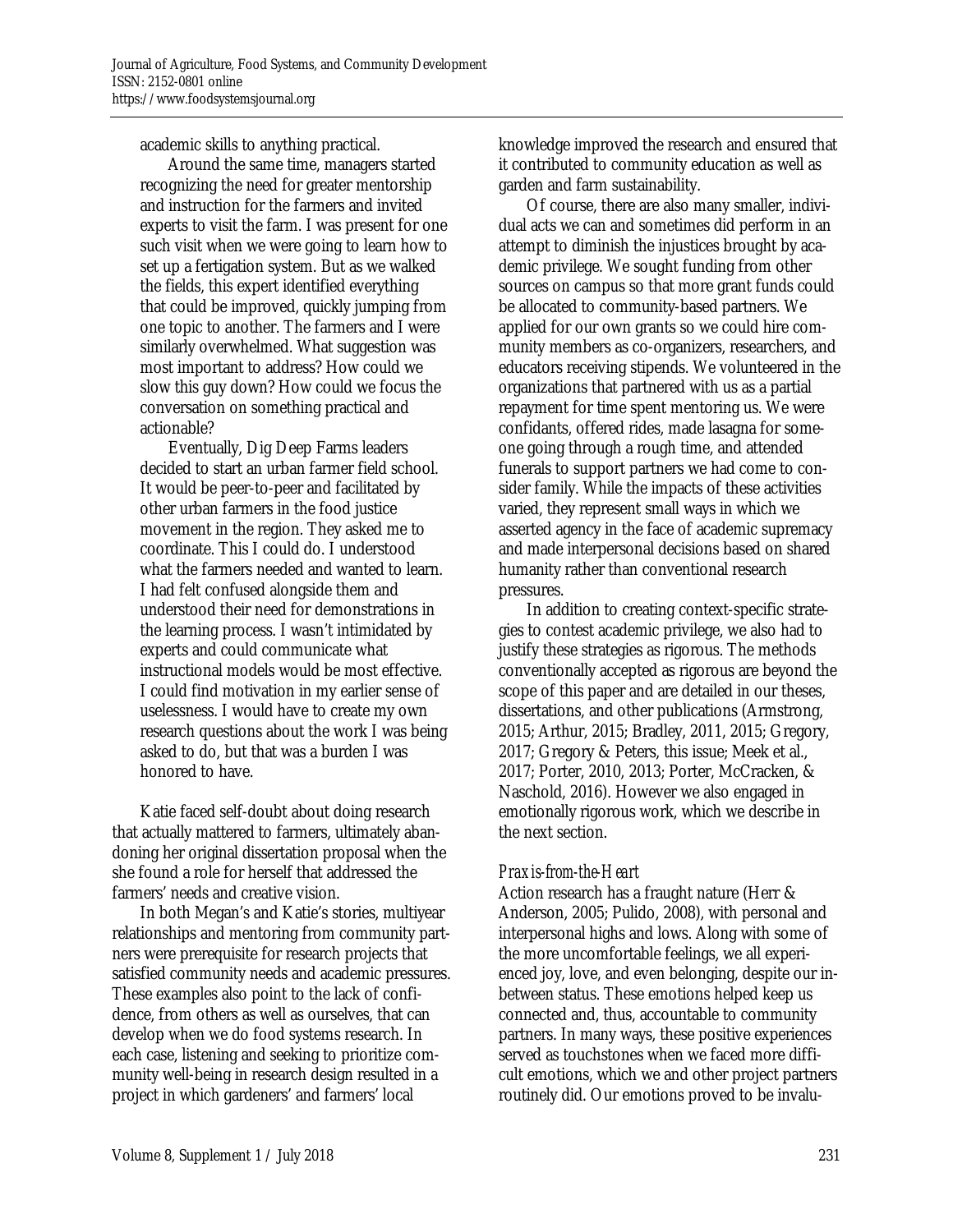academic skills to anything practical.

 Around the same time, managers started recognizing the need for greater mentorship and instruction for the farmers and invited experts to visit the farm. I was present for one such visit when we were going to learn how to set up a fertigation system. But as we walked the fields, this expert identified everything that could be improved, quickly jumping from one topic to another. The farmers and I were similarly overwhelmed. What suggestion was most important to address? How could we slow this guy down? How could we focus the conversation on something practical and actionable?

 Eventually, Dig Deep Farms leaders decided to start an urban farmer field school. It would be peer-to-peer and facilitated by other urban farmers in the food justice movement in the region. They asked me to coordinate. This I could do. I understood what the farmers needed and wanted to learn. I had felt confused alongside them and understood their need for demonstrations in the learning process. I wasn't intimidated by experts and could communicate what instructional models would be most effective. I could find motivation in my earlier sense of uselessness. I would have to create my own research questions about the work I was being asked to do, but that was a burden I was honored to have.

 Katie faced self-doubt about doing research that actually mattered to farmers, ultimately abandoning her original dissertation proposal when the she found a role for herself that addressed the farmers' needs and creative vision.

 In both Megan's and Katie's stories, multiyear relationships and mentoring from community partners were prerequisite for research projects that satisfied community needs and academic pressures. These examples also point to the lack of confidence, from others as well as ourselves, that can develop when we do food systems research. In each case, listening and seeking to prioritize community well-being in research design resulted in a project in which gardeners' and farmers' local

knowledge improved the research and ensured that it contributed to community education as well as garden and farm sustainability.

 Of course, there are also many smaller, individual acts we can and sometimes did perform in an attempt to diminish the injustices brought by academic privilege. We sought funding from other sources on campus so that more grant funds could be allocated to community-based partners. We applied for our own grants so we could hire community members as co-organizers, researchers, and educators receiving stipends. We volunteered in the organizations that partnered with us as a partial repayment for time spent mentoring us. We were confidants, offered rides, made lasagna for someone going through a rough time, and attended funerals to support partners we had come to consider family. While the impacts of these activities varied, they represent small ways in which we asserted agency in the face of academic supremacy and made interpersonal decisions based on shared humanity rather than conventional research pressures.

 In addition to creating context-specific strategies to contest academic privilege, we also had to justify these strategies as rigorous. The methods conventionally accepted as rigorous are beyond the scope of this paper and are detailed in our theses, dissertations, and other publications (Armstrong, 2015; Arthur, 2015; Bradley, 2011, 2015; Gregory, 2017; Gregory & Peters, this issue; Meek et al., 2017; Porter, 2010, 2013; Porter, McCracken, & Naschold, 2016). However we also engaged in emotionally rigorous work, which we describe in the next section.

## *Praxis-from-the-Heart*

Action research has a fraught nature (Herr & Anderson, 2005; Pulido, 2008), with personal and interpersonal highs and lows. Along with some of the more uncomfortable feelings, we all experienced joy, love, and even belonging, despite our inbetween status. These emotions helped keep us connected and, thus, accountable to community partners. In many ways, these positive experiences served as touchstones when we faced more difficult emotions, which we and other project partners routinely did. Our emotions proved to be invalu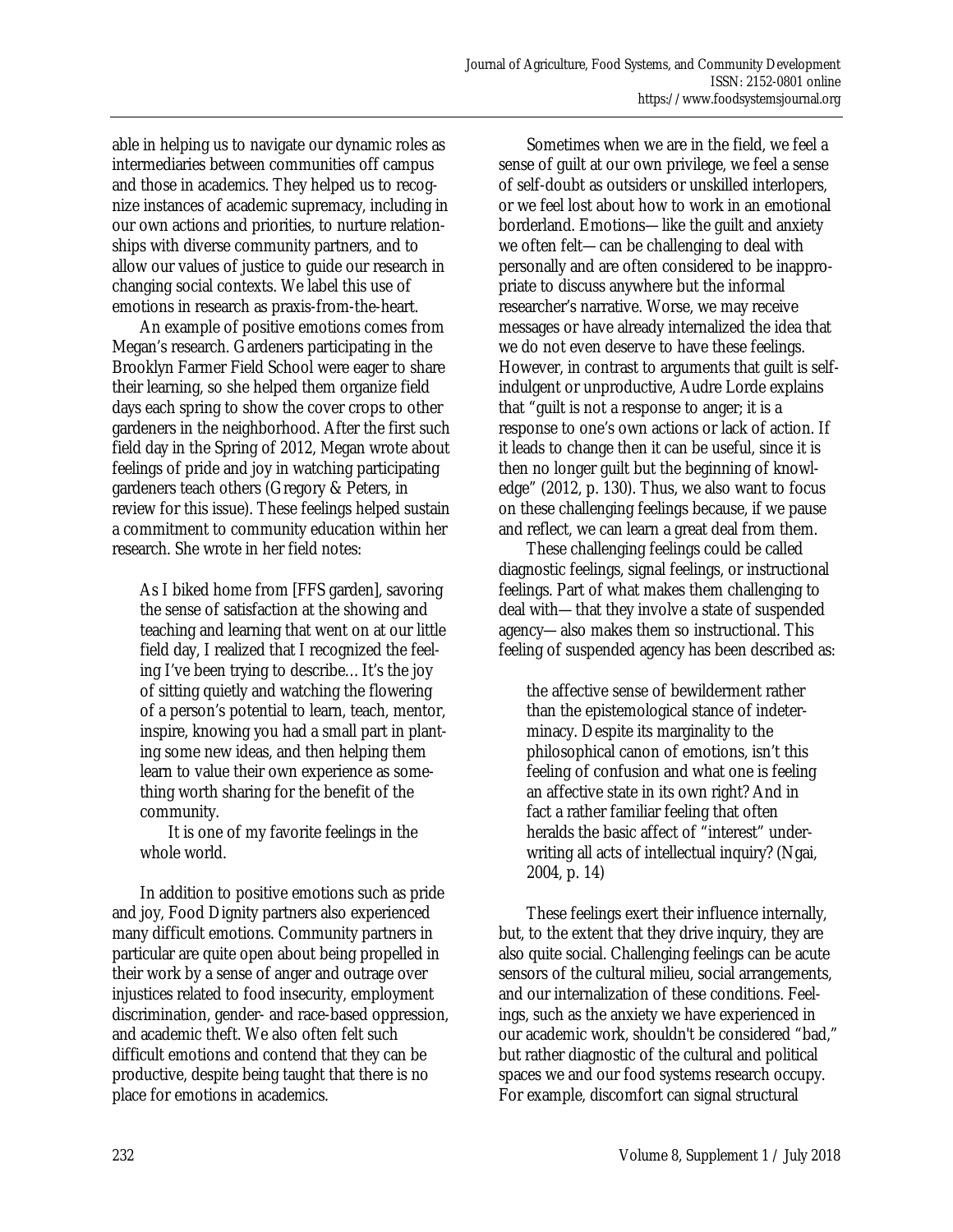able in helping us to navigate our dynamic roles as intermediaries between communities off campus and those in academics. They helped us to recognize instances of academic supremacy, including in our own actions and priorities, to nurture relationships with diverse community partners, and to allow our values of justice to guide our research in changing social contexts. We label this use of emotions in research as praxis-from-the-heart.

 An example of positive emotions comes from Megan's research. Gardeners participating in the Brooklyn Farmer Field School were eager to share their learning, so she helped them organize field days each spring to show the cover crops to other gardeners in the neighborhood. After the first such field day in the Spring of 2012, Megan wrote about feelings of pride and joy in watching participating gardeners teach others (Gregory & Peters, in review for this issue). These feelings helped sustain a commitment to community education within her research. She wrote in her field notes:

As I biked home from [FFS garden], savoring the sense of satisfaction at the showing and teaching and learning that went on at our little field day, I realized that I recognized the feeling I've been trying to describe…It's the joy of sitting quietly and watching the flowering of a person's potential to learn, teach, mentor, inspire, knowing you had a small part in planting some new ideas, and then helping them learn to value their own experience as something worth sharing for the benefit of the community.

 It is one of my favorite feelings in the whole world.

 In addition to positive emotions such as pride and joy, Food Dignity partners also experienced many difficult emotions. Community partners in particular are quite open about being propelled in their work by a sense of anger and outrage over injustices related to food insecurity, employment discrimination, gender- and race-based oppression, and academic theft. We also often felt such difficult emotions and contend that they can be productive, despite being taught that there is no place for emotions in academics.

 Sometimes when we are in the field, we feel a sense of guilt at our own privilege, we feel a sense of self-doubt as outsiders or unskilled interlopers, or we feel lost about how to work in an emotional borderland. Emotions—like the guilt and anxiety we often felt—can be challenging to deal with personally and are often considered to be inappropriate to discuss anywhere but the informal researcher's narrative. Worse, we may receive messages or have already internalized the idea that we do not even deserve to have these feelings. However, in contrast to arguments that guilt is selfindulgent or unproductive, Audre Lorde explains that "guilt is not a response to anger; it is a response to one's own actions or lack of action. If it leads to change then it can be useful, since it is then no longer guilt but the beginning of knowledge" (2012, p. 130). Thus, we also want to focus on these challenging feelings because, if we pause and reflect, we can learn a great deal from them.

 These challenging feelings could be called diagnostic feelings, signal feelings, or instructional feelings. Part of what makes them challenging to deal with—that they involve a state of suspended agency—also makes them so instructional. This feeling of suspended agency has been described as:

the affective sense of bewilderment rather than the epistemological stance of indeterminacy. Despite its marginality to the philosophical canon of emotions, isn't this feeling of confusion and what one is feeling an affective state in its own right? And in fact a rather familiar feeling that often heralds the basic affect of "interest" underwriting all acts of intellectual inquiry? (Ngai, 2004, p. 14)

 These feelings exert their influence internally, but, to the extent that they drive inquiry, they are also quite social. Challenging feelings can be acute sensors of the cultural milieu, social arrangements, and our internalization of these conditions. Feelings, such as the anxiety we have experienced in our academic work, shouldn't be considered "bad," but rather diagnostic of the cultural and political spaces we and our food systems research occupy. For example, discomfort can signal structural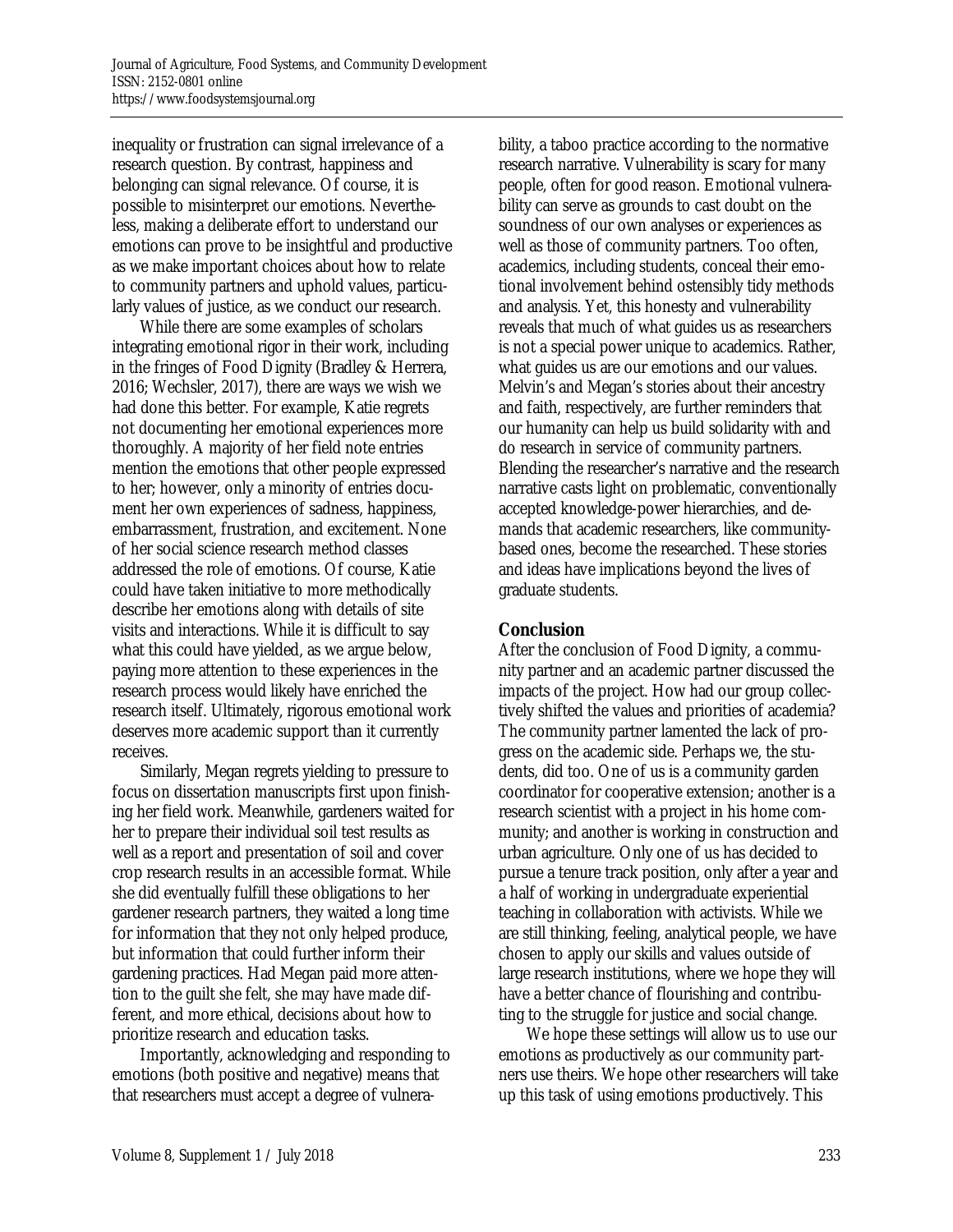inequality or frustration can signal irrelevance of a research question. By contrast, happiness and belonging can signal relevance. Of course, it is possible to misinterpret our emotions. Nevertheless, making a deliberate effort to understand our emotions can prove to be insightful and productive as we make important choices about how to relate to community partners and uphold values, particularly values of justice, as we conduct our research.

 While there are some examples of scholars integrating emotional rigor in their work, including in the fringes of Food Dignity (Bradley & Herrera, 2016; Wechsler, 2017), there are ways we wish we had done this better. For example, Katie regrets not documenting her emotional experiences more thoroughly. A majority of her field note entries mention the emotions that other people expressed to her; however, only a minority of entries document her own experiences of sadness, happiness, embarrassment, frustration, and excitement. None of her social science research method classes addressed the role of emotions. Of course, Katie could have taken initiative to more methodically describe her emotions along with details of site visits and interactions. While it is difficult to say what this could have yielded, as we argue below, paying more attention to these experiences in the research process would likely have enriched the research itself. Ultimately, rigorous emotional work deserves more academic support than it currently receives.

 Similarly, Megan regrets yielding to pressure to focus on dissertation manuscripts first upon finishing her field work. Meanwhile, gardeners waited for her to prepare their individual soil test results as well as a report and presentation of soil and cover crop research results in an accessible format. While she did eventually fulfill these obligations to her gardener research partners, they waited a long time for information that they not only helped produce, but information that could further inform their gardening practices. Had Megan paid more attention to the guilt she felt, she may have made different, and more ethical, decisions about how to prioritize research and education tasks.

 Importantly, acknowledging and responding to emotions (both positive and negative) means that that researchers must accept a degree of vulnerability, a taboo practice according to the normative research narrative. Vulnerability is scary for many people, often for good reason. Emotional vulnerability can serve as grounds to cast doubt on the soundness of our own analyses or experiences as well as those of community partners. Too often, academics, including students, conceal their emotional involvement behind ostensibly tidy methods and analysis. Yet, this honesty and vulnerability reveals that much of what guides us as researchers is not a special power unique to academics. Rather, what guides us are our emotions and our values. Melvin's and Megan's stories about their ancestry and faith, respectively, are further reminders that our humanity can help us build solidarity with and do research in service of community partners. Blending the researcher's narrative and the research narrative casts light on problematic, conventionally accepted knowledge-power hierarchies, and demands that academic researchers, like communitybased ones, become the researched. These stories and ideas have implications beyond the lives of graduate students.

## **Conclusion**

After the conclusion of Food Dignity, a community partner and an academic partner discussed the impacts of the project. How had our group collectively shifted the values and priorities of academia? The community partner lamented the lack of progress on the academic side. Perhaps we, the students, did too. One of us is a community garden coordinator for cooperative extension; another is a research scientist with a project in his home community; and another is working in construction and urban agriculture. Only one of us has decided to pursue a tenure track position, only after a year and a half of working in undergraduate experiential teaching in collaboration with activists. While we are still thinking, feeling, analytical people, we have chosen to apply our skills and values outside of large research institutions, where we hope they will have a better chance of flourishing and contributing to the struggle for justice and social change.

 We hope these settings will allow us to use our emotions as productively as our community partners use theirs. We hope other researchers will take up this task of using emotions productively. This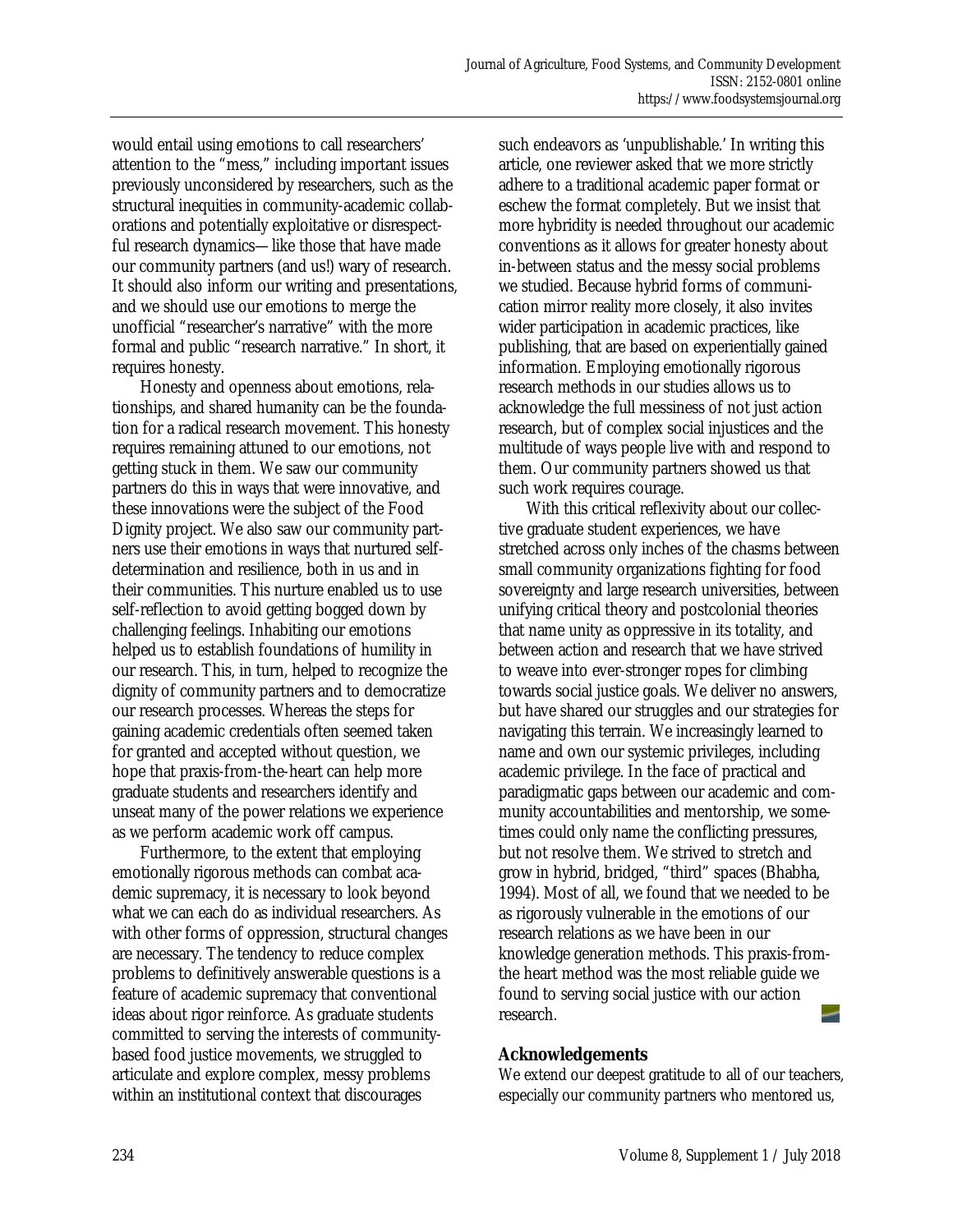would entail using emotions to call researchers' attention to the "mess," including important issues previously unconsidered by researchers, such as the structural inequities in community-academic collaborations and potentially exploitative or disrespectful research dynamics—like those that have made our community partners (and us!) wary of research. It should also inform our writing and presentations, and we should use our emotions to merge the unofficial "researcher's narrative" with the more formal and public "research narrative." In short, it requires honesty.

 Honesty and openness about emotions, relationships, and shared humanity can be the foundation for a radical research movement. This honesty requires remaining attuned to our emotions, not getting stuck in them. We saw our community partners do this in ways that were innovative, and these innovations were the subject of the Food Dignity project. We also saw our community partners use their emotions in ways that nurtured selfdetermination and resilience, both in us and in their communities. This nurture enabled us to use self-reflection to avoid getting bogged down by challenging feelings. Inhabiting our emotions helped us to establish foundations of humility in our research. This, in turn, helped to recognize the dignity of community partners and to democratize our research processes. Whereas the steps for gaining academic credentials often seemed taken for granted and accepted without question, we hope that praxis-from-the-heart can help more graduate students and researchers identify and unseat many of the power relations we experience as we perform academic work off campus.

 Furthermore, to the extent that employing emotionally rigorous methods can combat academic supremacy, it is necessary to look beyond what we can each do as individual researchers. As with other forms of oppression, structural changes are necessary. The tendency to reduce complex problems to definitively answerable questions is a feature of academic supremacy that conventional ideas about rigor reinforce. As graduate students committed to serving the interests of communitybased food justice movements, we struggled to articulate and explore complex, messy problems within an institutional context that discourages

such endeavors as 'unpublishable.' In writing this article, one reviewer asked that we more strictly adhere to a traditional academic paper format or eschew the format completely. But we insist that more hybridity is needed throughout our academic conventions as it allows for greater honesty about in-between status and the messy social problems we studied. Because hybrid forms of communication mirror reality more closely, it also invites wider participation in academic practices, like publishing, that are based on experientially gained information. Employing emotionally rigorous research methods in our studies allows us to acknowledge the full messiness of not just action research, but of complex social injustices and the multitude of ways people live with and respond to them. Our community partners showed us that such work requires courage.

 With this critical reflexivity about our collective graduate student experiences, we have stretched across only inches of the chasms between small community organizations fighting for food sovereignty and large research universities, between unifying critical theory and postcolonial theories that name unity as oppressive in its totality, and between action and research that we have strived to weave into ever-stronger ropes for climbing towards social justice goals. We deliver no answers, but have shared our struggles and our strategies for navigating this terrain. We increasingly learned to name and own our systemic privileges, including academic privilege. In the face of practical and paradigmatic gaps between our academic and community accountabilities and mentorship, we sometimes could only name the conflicting pressures, but not resolve them. We strived to stretch and grow in hybrid, bridged, "third" spaces (Bhabha, 1994). Most of all, we found that we needed to be as rigorously vulnerable in the emotions of our research relations as we have been in our knowledge generation methods. This praxis-fromthe heart method was the most reliable guide we found to serving social justice with our action research.

#### **Acknowledgements**

We extend our deepest gratitude to all of our teachers, especially our community partners who mentored us,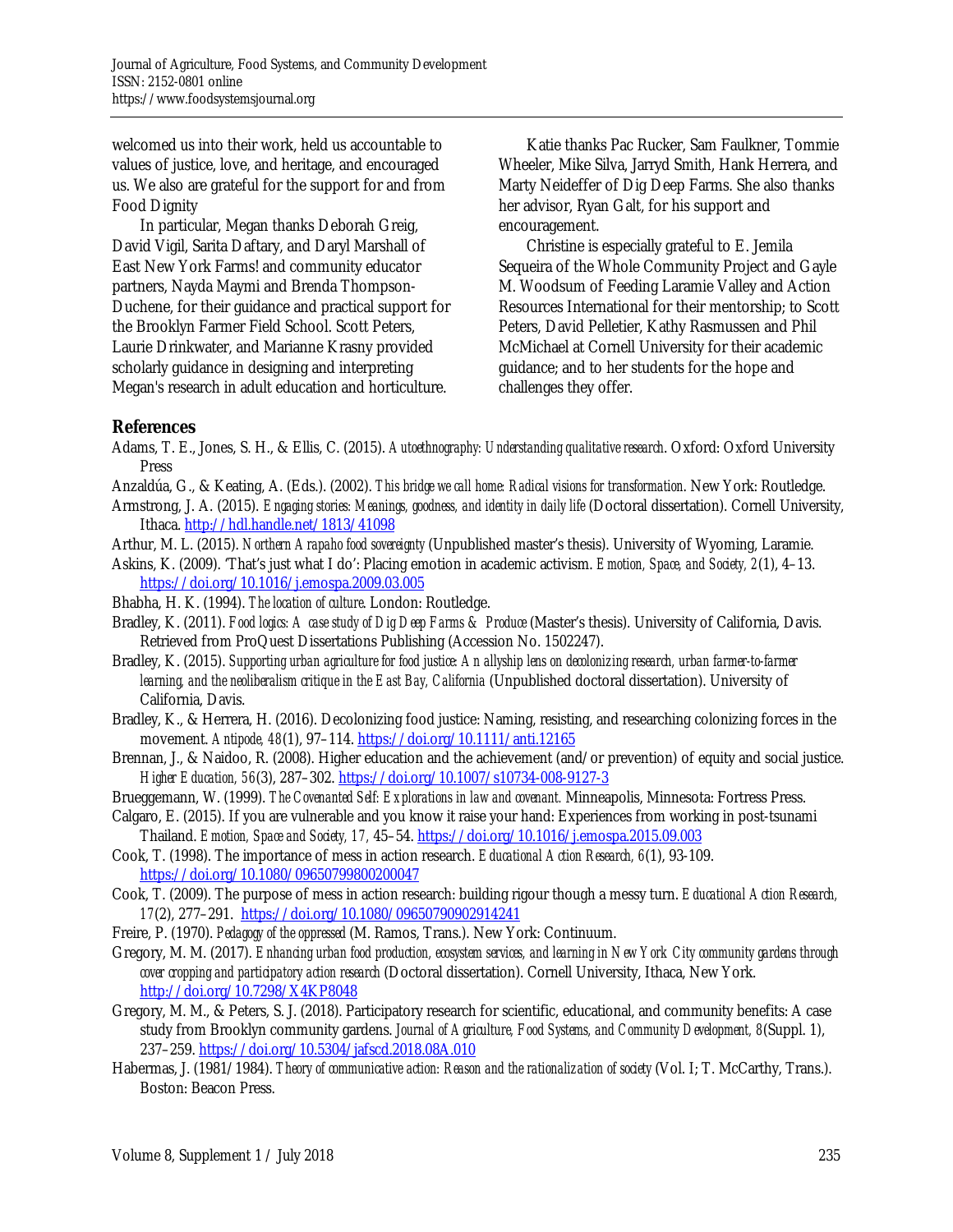welcomed us into their work, held us accountable to values of justice, love, and heritage, and encouraged us. We also are grateful for the support for and from Food Dignity

 In particular, Megan thanks Deborah Greig, David Vigil, Sarita Daftary, and Daryl Marshall of East New York Farms! and community educator partners, Nayda Maymi and Brenda Thompson-Duchene, for their guidance and practical support for the Brooklyn Farmer Field School. Scott Peters, Laurie Drinkwater, and Marianne Krasny provided scholarly guidance in designing and interpreting Megan's research in adult education and horticulture.

 Katie thanks Pac Rucker, Sam Faulkner, Tommie Wheeler, Mike Silva, Jarryd Smith, Hank Herrera, and Marty Neideffer of Dig Deep Farms. She also thanks her advisor, Ryan Galt, for his support and encouragement.

 Christine is especially grateful to E. Jemila Sequeira of the Whole Community Project and Gayle M. Woodsum of Feeding Laramie Valley and Action Resources International for their mentorship; to Scott Peters, David Pelletier, Kathy Rasmussen and Phil McMichael at Cornell University for their academic guidance; and to her students for the hope and challenges they offer.

## **References**

- Adams, T. E., Jones, S. H., & Ellis, C. (2015). *Autoethnography: Understanding qualitative research*. Oxford: Oxford University Press
- Anzaldúa, G., & Keating, A. (Eds.). (2002). *This bridge we call home: Radical visions for transformation*. New York: Routledge.
- Armstrong, J. A. (2015). *Engaging stories: Meanings, goodness, and identity in daily life* (Doctoral dissertation). Cornell University, Ithaca. http://hdl.handle.net/1813/41098
- Arthur, M. L. (2015). *Northern Arapaho food sovereignty* (Unpublished master's thesis). University of Wyoming, Laramie.
- Askins, K. (2009). 'That's just what I do': Placing emotion in academic activism. *Emotion, Space, and Society, 2*(1), 4–13. https://doi.org/10.1016/j.emospa.2009.03.005

Bhabha, H. K. (1994). *The location of culture*. London: Routledge.

- Bradley, K. (2011). *Food logics: A case study of Dig Deep Farms & Produce* (Master's thesis). University of California, Davis. Retrieved from ProQuest Dissertations Publishing (Accession No. 1502247).
- Bradley, K. (2015). *Supporting urban agriculture for food justice: An allyship lens on decolonizing research, urban farmer-to-farmer learning, and the neoliberalism critique in the East Bay, California* (Unpublished doctoral dissertation). University of California, Davis.
- Bradley, K., & Herrera, H. (2016). Decolonizing food justice: Naming, resisting, and researching colonizing forces in the movement. *Antipode, 48*(1), 97–114. https://doi.org/10.1111/anti.12165
- Brennan, J., & Naidoo, R. (2008). Higher education and the achievement (and/or prevention) of equity and social justice. *Higher Education, 56*(3), 287–302. https://doi.org/10.1007/s10734-008-9127-3
- Brueggemann, W. (1999). *The Covenanted Self: Explorations in law and covenant.* Minneapolis, Minnesota: Fortress Press.
- Calgaro, E. (2015). If you are vulnerable and you know it raise your hand: Experiences from working in post-tsunami Thailand. *Emotion, Space and Society, 17,* 45–54. https://doi.org/10.1016/j.emospa.2015.09.003
- Cook, T. (1998). The importance of mess in action research. *Educational Action Research, 6*(1), 93-109. https://doi.org/10.1080/09650799800200047
- Cook, T. (2009). The purpose of mess in action research: building rigour though a messy turn. *Educational Action Research, 17*(2), 277–291. https://doi.org/10.1080/09650790902914241
- Freire, P. (1970). *Pedagogy of the oppressed* (M. Ramos, Trans.). New York: Continuum.
- Gregory, M. M. (2017). *Enhancing urban food production, ecosystem services, and learning in New York City community gardens through cover cropping and participatory action research* (Doctoral dissertation). Cornell University, Ithaca, New York. http://doi.org/10.7298/X4KP8048
- Gregory, M. M., & Peters, S. J. (2018). Participatory research for scientific, educational, and community benefits: A case study from Brooklyn community gardens. *Journal of Agriculture, Food Systems, and Community Development, 8*(Suppl. 1), 237–259. https://doi.org/10.5304/jafscd.2018.08A.010
- Habermas, J. (1981/1984). *Theory of communicative action: Reason and the rationalization of society* (Vol. I; T. McCarthy, Trans.). Boston: Beacon Press.